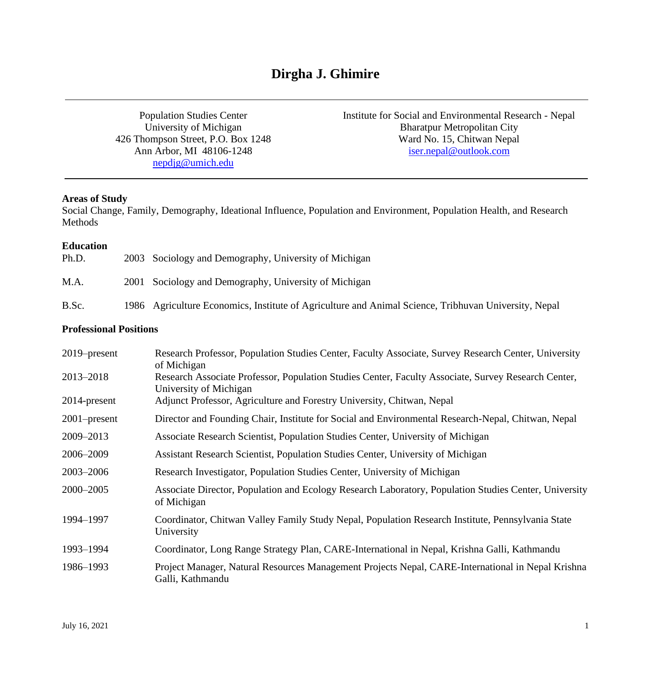# **Dirgha J. Ghimire**

Population Studies Center University of Michigan 426 Thompson Street, P.O. Box 1248 Ann Arbor, MI 48106-1248 [nepdjg@umich.edu](mailto:nepdjg@umich.edu)

Institute for Social and Environmental Research - Nepal Bharatpur Metropolitan City Ward No. 15, Chitwan Nepal [iser.nepal@outlook.com](mailto:iser.nepal@outlook.com)

### **Areas of Study**

Social Change, Family, Demography, Ideational Influence, Population and Environment, Population Health, and Research Methods

#### **Education**

| Ph.D. | 2003 Sociology and Demography, University of Michigan                                                |
|-------|------------------------------------------------------------------------------------------------------|
| M.A.  | 2001 Sociology and Demography, University of Michigan                                                |
| B.Sc. | 1986 Agriculture Economics, Institute of Agriculture and Animal Science, Tribhuvan University, Nepal |

# **Professional Positions**

| $2019$ -present | Research Professor, Population Studies Center, Faculty Associate, Survey Research Center, University<br>of Michigan           |
|-----------------|-------------------------------------------------------------------------------------------------------------------------------|
| 2013-2018       | Research Associate Professor, Population Studies Center, Faculty Associate, Survey Research Center,<br>University of Michigan |
| 2014-present    | Adjunct Professor, Agriculture and Forestry University, Chitwan, Nepal                                                        |
| $2001$ -present | Director and Founding Chair, Institute for Social and Environmental Research-Nepal, Chitwan, Nepal                            |
| 2009-2013       | Associate Research Scientist, Population Studies Center, University of Michigan                                               |
| 2006-2009       | Assistant Research Scientist, Population Studies Center, University of Michigan                                               |
| 2003-2006       | Research Investigator, Population Studies Center, University of Michigan                                                      |
| 2000-2005       | Associate Director, Population and Ecology Research Laboratory, Population Studies Center, University<br>of Michigan          |
| 1994-1997       | Coordinator, Chitwan Valley Family Study Nepal, Population Research Institute, Pennsylvania State<br>University               |
| 1993-1994       | Coordinator, Long Range Strategy Plan, CARE-International in Nepal, Krishna Galli, Kathmandu                                  |
| 1986-1993       | Project Manager, Natural Resources Management Projects Nepal, CARE-International in Nepal Krishna<br>Galli, Kathmandu         |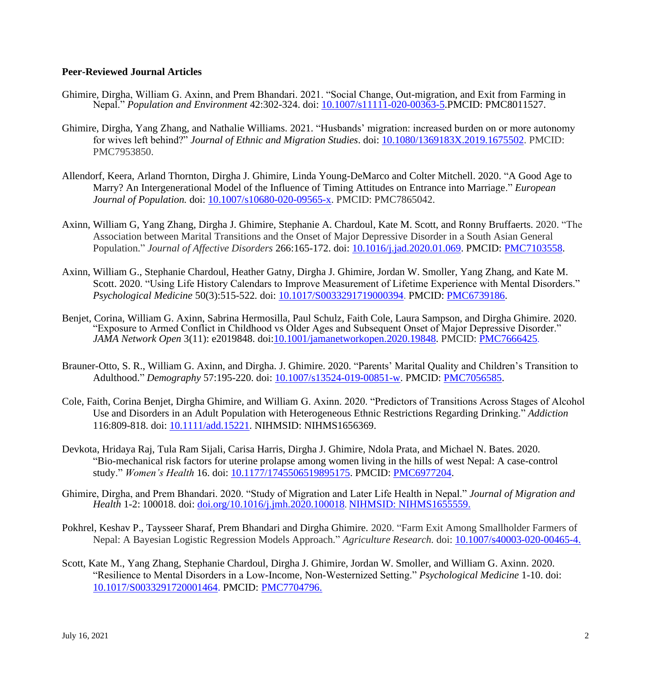# **Peer-Reviewed Journal Articles**

- Ghimire, Dirgha, William G. Axinn, and Prem Bhandari. 2021. "Social Change, Out-migration, and Exit from Farming in Nepal." *Population and Environment* 42:302-324. doi: [10.1007/s11111-020-00363-5.](https://doi.org/10.1007/s11111-020-00363-5)PMCID: PMC8011527.
- Ghimire, Dirgha, Yang Zhang, and Nathalie Williams. 2021. "Husbands' migration: increased burden on or more autonomy for wives left behind?" *Journal of Ethnic and Migration Studies*. doi: [10.1080/1369183X.2019.1675502.](https://www.tandfonline.com/doi/full/10.1080/1369183X.2019.1675502) PMCID: PMC7953850.
- Allendorf, Keera, Arland Thornton, Dirgha J. Ghimire, Linda Young-DeMarco and Colter Mitchell. 2020. "A Good Age to Marry? An Intergenerational Model of the Influence of Timing Attitudes on Entrance into Marriage." *European Journal of Population.* doi: [10.1007/s10680-020-09565-x.](https://doi.org/10.1007/s10680-020-09565-x) PMCID: PMC7865042.
- Axinn, William G, Yang Zhang, Dirgha J. Ghimire, Stephanie A. Chardoul, Kate M. Scott, and Ronny Bruffaerts. 2020. "The Association between Marital Transitions and the Onset of Major Depressive Disorder in a South Asian General Population." *Journal of Affective Disorders* [266:](https://www.sciencedirect.com/science/journal/01650327/266/supp/C)165-172. doi: [10.1016/j.jad.2020.01.069.](https://doi.org/10.1016/j.jad.2020.01.069) PMCID: [PMC7103558.](https://www.ncbi.nlm.nih.gov/pmc/articles/PMC7103558/)
- Axinn, William G., Stephanie Chardoul, Heather Gatny, Dirgha J. Ghimire, Jordan W. Smoller, Yang Zhang, and Kate M. Scott. 2020. "Using Life History Calendars to Improve Measurement of Lifetime Experience with Mental Disorders." *Psychological Medicine* 50(3):515-522*.* doi: [10.1017/S0033291719000394.](https://doi.org/10.1017/S0033291719000394) PMCID: [PMC6739186.](https://www.ncbi.nlm.nih.gov/pmc/articles/PMC6739186/)
- Benjet, Corina, William G. Axinn, Sabrina Hermosilla, Paul Schulz, Faith Cole, Laura Sampson, and Dirgha Ghimire. 2020. "Exposure to Armed Conflict in Childhood vs Older Ages and Subsequent Onset of Major Depressive Disorder." *JAMA Network Open* 3(11): e2019848. doi[:10.1001/jamanetworkopen.2020.19848.](https://doi.org/10.1001/jamanetworkopen.2020.19848) PMCID: [PMC7666425](http://www.ncbi.nlm.nih.gov/pmc/articles/pmc7666425/).
- Brauner-Otto, S. R., William G. Axinn, and Dirgha. J. Ghimire. 2020. "Parents' Marital Quality and Children's Transition to Adulthood." *Demography* 57:195-220. doi: [10.1007/s13524-019-00851-w.](https://doi.org/10.1007/s13524-019-00851-w) PMCID: [PMC7056585.](https://pubmed.ncbi.nlm.nih.gov/32006265/)
- Cole, Faith, Corina Benjet, Dirgha Ghimire, and William G. Axinn. 2020. "Predictors of Transitions Across Stages of Alcohol Use and Disorders in an Adult Population with Heterogeneous Ethnic Restrictions Regarding Drinking." *Addiction* 116:809-818. doi: [10.1111/add.15221.](https://doi.org/10.1111/add.15221) NIHMSID: NIHMS1656369.
- Devkota, Hridaya Raj, Tula Ram Sijali, Carisa Harris, Dirgha J. Ghimire, Ndola Prata, and Michael N. Bates. 2020. "Bio-mechanical risk factors for uterine prolapse among women living in the hills of west Nepal: A case-control study." *Women's Health* 16. doi: [10.1177/1745506519895175.](https://doi.org/10.1177/1745506519895175) PMCID: [PMC6977204.](https://www.ncbi.nlm.nih.gov/pmc/articles/PMC6977204/)
- Ghimire, Dirgha, and Prem Bhandari. 2020. "Study of Migration and Later Life Health in Nepal." *Journal of Migration and Health* 1-2: 100018. doi: [doi.org/10.1016/j.jmh.2020.100018](https://doi.org/10.1016/j.jmh.2020.100018). NIHMSID: NIHMS1655559.
- Pokhrel, Keshav P., Taysseer Sharaf, Prem Bhandari and Dirgha Ghimire. 2020. "Farm Exit Among Smallholder Farmers of Nepal: A Bayesian Logistic Regression Models Approach." *Agriculture Research.* doi: [10.1007/s40003-020-00465-4.](https://doi.org/10.1007/s40003-020-00465-4)
- Scott, Kate M., Yang Zhang, Stephanie Chardoul, Dirgha J. Ghimire, Jordan W. Smoller, and William G. Axinn. 2020. "Resilience to Mental Disorders in a Low-Income, Non-Westernized Setting." *Psychological Medicine* 1-10. doi: [10.1017/S0033291720001464.](https://doi.org/10.1017/S0033291720001464) PMCID: PMC7704796.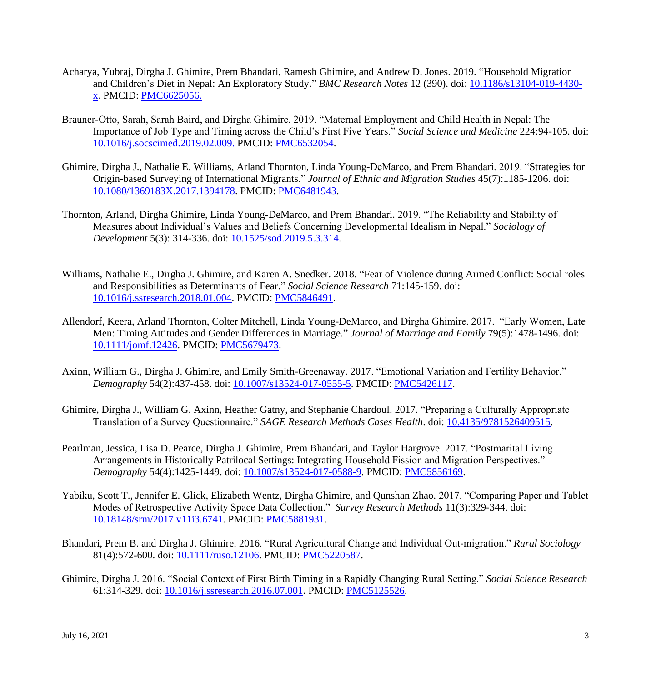- Acharya, Yubraj, Dirgha J. Ghimire, Prem Bhandari, Ramesh Ghimire, and Andrew D. Jones. 2019. "Household Migration and Children's Diet in Nepal: An Exploratory Study." *BMC Research Notes* 12 (390). doi: [10.1186/s13104-019-4430](https://doi.org/10.1186/s13104-019-4430-x) [x.](https://doi.org/10.1186/s13104-019-4430-x) PMCID: [PMC6625056.](http://www.ncbi.nlm.nih.gov/pmc/articles/pmc6625056/)
- Brauner-Otto, Sarah, Sarah Baird, and Dirgha Ghimire. 2019. "Maternal Employment and Child Health in Nepal: The Importance of Job Type and Timing across the Child's First Five Years." *Social Science and Medicine* 224:94-105. doi: [10.1016/j.socscimed.2019.02.009.](https://doi.org/10.1016/j.socscimed.2019.02.009) PMCID: [PMC6532054.](https://www.ncbi.nlm.nih.gov/pmc/articles/PMC6532054/)
- Ghimire, Dirgha J., Nathalie E. Williams, Arland Thornton, Linda Young-DeMarco, and Prem Bhandari. 2019. "Strategies for Origin-based Surveying of International Migrants." *Journal of Ethnic and Migration Studies* 45(7):1185-1206. doi: [10.1080/1369183X.2017.1394178.](https://doi.org/10.1080/1369183X.2017.1394178) PMCID: [PMC6481943.](https://www.ncbi.nlm.nih.gov/pmc/articles/PMC6481943/)
- Thornton, Arland, Dirgha Ghimire, Linda Young-DeMarco, and Prem Bhandari. 2019. "The Reliability and Stability of Measures about Individual's Values and Beliefs Concerning Developmental Idealism in Nepal." *Sociology of Development* 5(3): 314-336. doi: [10.1525/sod.2019.5.3.314.](https://doi.org/10.1525/sod.2019.5.3.314)
- Williams, Nathalie E., Dirgha J. Ghimire, and Karen A. Snedker. 2018. "Fear of Violence during Armed Conflict: Social roles and Responsibilities as Determinants of Fear." *Social Science Research* 71:145-159. doi: [10.1016/j.ssresearch.2018.01.004.](https://doi.org/10.1016/j.ssresearch.2018.01.004) PMCID: [PMC5846491.](https://www.ncbi.nlm.nih.gov/pubmed/29514755)
- Allendorf, Keera, Arland Thornton, Colter Mitchell, Linda Young-DeMarco, and Dirgha Ghimire. 2017. "Early Women, Late Men: Timing Attitudes and Gender Differences in Marriage." *Journal of Marriage and Family* 79(5):1478-1496. doi: [10.1111/jomf.12426.](https://onlinelibrary.wiley.com/doi/abs/10.1111/jomf.12426) PMCID: [PMC5679473.](https://www.ncbi.nlm.nih.gov/pubmed/29129940)
- Axinn, William G., Dirgha J. Ghimire, and Emily Smith-Greenaway. 2017. "Emotional Variation and Fertility Behavior." *Demography* 54(2):437-458. doi: [10.1007/s13524-017-0555-5.](https://link.springer.com/article/10.1007%2Fs13524-017-0555-5#aboutcontent) PMCID: [PMC5426117.](https://www.ncbi.nlm.nih.gov/pmc/articles/PMC5426117/)
- Ghimire, Dirgha J., William G. Axinn, Heather Gatny, and Stephanie Chardoul. 2017. "Preparing a Culturally Appropriate Translation of a Survey Questionnaire." *SAGE Research Methods Cases Health*. doi: [10.4135/9781526409515.](http://dx.doi.org/10.4135/9781526409515)
- Pearlman, Jessica, Lisa D. Pearce, Dirgha J. Ghimire, Prem Bhandari, and Taylor Hargrove. 2017. "Postmarital Living Arrangements in Historically Patrilocal Settings: Integrating Household Fission and Migration Perspectives." *Demography* 54(4):1425-1449. doi: [10.1007/s13524-017-0588-9.](https://link.springer.com/article/10.1007/s13524-017-0588-9) PMCID: [PMC5856169.](https://www.ncbi.nlm.nih.gov/pmc/articles/PMC5856169/)
- Yabiku, Scott T., Jennifer E. Glick, Elizabeth Wentz, Dirgha Ghimire, and Qunshan Zhao. 2017. "Comparing Paper and Tablet Modes of Retrospective Activity Space Data Collection." *Survey Research Methods* 11(3):329-344. doi: [10.18148/srm/2017.v11i3.6741.](http://dx.doi.org/10.18148/srm/2017.v11i3.6741) PMCID: [PMC5881931.](https://www.ncbi.nlm.nih.gov/pmc/articles/PMC5881931/)
- Bhandari, Prem B. and Dirgha J. Ghimire. 2016. "Rural Agricultural Change and Individual Out-migration." *Rural Sociology* 81(4):572-600. doi: [10.1111/ruso.12106.](https://onlinelibrary.wiley.com/doi/abs/10.1111/ruso.12106) PMCID: [PMC5220587.](https://www.ncbi.nlm.nih.gov/pmc/articles/PMC5220587/)
- Ghimire, Dirgha J. 2016. "Social Context of First Birth Timing in a Rapidly Changing Rural Setting." *Social Science Research*  61:314-329. doi: [10.1016/j.ssresearch.2016.07.001.](https://doi.org/10.1016/j.ssresearch.2016.07.001) PMCID: [PMC5125526.](https://www.ncbi.nlm.nih.gov/pmc/articles/PMC5125526/)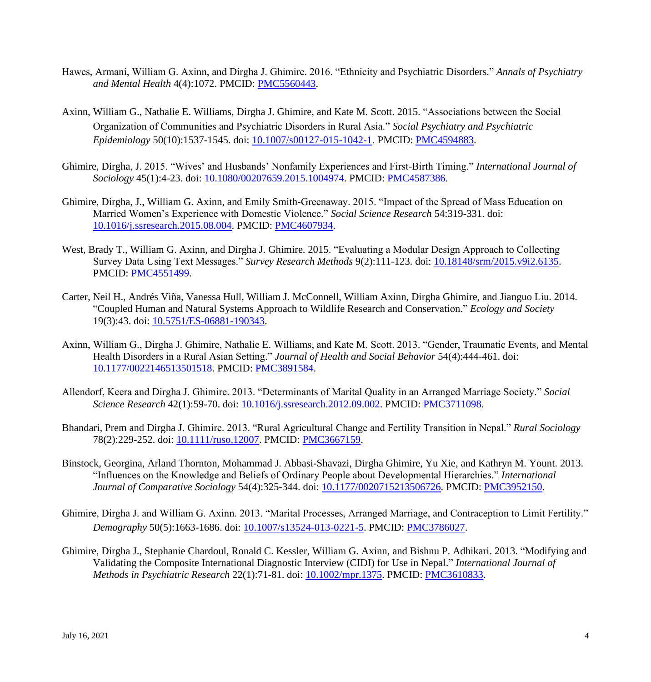- Hawes, Armani, William G. Axinn, and Dirgha J. Ghimire. 2016. "Ethnicity and Psychiatric Disorders." *Annals of Psychiatry and Mental Health* 4(4):1072. PMCID: [PMC5560443.](https://www.ncbi.nlm.nih.gov/pmc/articles/PMC5560443/)
- Axinn, William G., Nathalie E. Williams, Dirgha J. Ghimire, and Kate M. Scott. 2015. "Associations between the Social Organization of Communities and Psychiatric Disorders in Rural Asia." *Social Psychiatry and Psychiatric Epidemiology* 50(10):1537-1545. doi: [10.1007/s00127-015-1042-1.](https://doi.org/10.1007/s00127-015-1042-1) PMCID: [PMC4594883.](https://www.ncbi.nlm.nih.gov/pmc/articles/PMC4594883/)
- Ghimire, Dirgha, J. 2015. "Wives' and Husbands' Nonfamily Experiences and First-Birth Timing." *International Journal of Sociology* 45(1):4-23. doi: [10.1080/00207659.2015.1004974.](https://doi.org/10.1080/00207659.2015.1004974) PMCID: [PMC4587386.](https://www.ncbi.nlm.nih.gov/pmc/articles/PMC4587386/)
- Ghimire, Dirgha, J., William G. Axinn, and Emily Smith-Greenaway. 2015. "Impact of the Spread of Mass Education on Married Women's Experience with Domestic Violence." *Social Science Research* 54:319-331. doi: [10.1016/j.ssresearch.2015.08.004.](https://doi.org/10.1016/j.ssresearch.2015.08.004) PMCID: [PMC4607934.](https://www.ncbi.nlm.nih.gov/pmc/articles/PMC4607934/)
- West, Brady T., William G. Axinn, and Dirgha J. Ghimire. 2015. "Evaluating a Modular Design Approach to Collecting Survey Data Using Text Messages." *Survey Research Methods* 9(2):111-123. doi: [10.18148/srm/2015.v9i2.6135.](http://dx.doi.org/10.18148/srm/2015.v9i2.6135) PMCID: [PMC4551499.](https://www.ncbi.nlm.nih.gov/pmc/articles/PMC4551499/)
- Carter, Neil H., Andrés Viña, Vanessa Hull, William J. McConnell, William Axinn, Dirgha Ghimire, and Jianguo Liu. 2014. "Coupled Human and Natural Systems Approach to Wildlife Research and Conservation." *Ecology and Society* 19(3):43. doi: [10.5751/ES-06881-190343.](http://dx.doi.org/10.5751/ES-06881-190343)
- Axinn, William G., Dirgha J. Ghimire, Nathalie E. Williams, and Kate M. Scott. 2013. "Gender, Traumatic Events, and Mental Health Disorders in a Rural Asian Setting." *Journal of Health and Social Behavior* 54(4):444-461. doi: [10.1177/0022146513501518.](https://doi.org/10.1177/0022146513501518) PMCID: [PMC3891584.](https://www.ncbi.nlm.nih.gov/pmc/articles/PMC3891584/)
- Allendorf, Keera and Dirgha J. Ghimire. 2013. "Determinants of Marital Quality in an Arranged Marriage Society." *Social Science Research* 42(1):59-70. doi: [10.1016/j.ssresearch.2012.09.002.](https://doi.org/10.1016/j.ssresearch.2012.09.002) PMCID: [PMC3711098.](https://www.ncbi.nlm.nih.gov/pmc/articles/PMC3711098/)
- Bhandari, Prem and Dirgha J. Ghimire. 2013. "Rural Agricultural Change and Fertility Transition in Nepal." *Rural Sociology* 78(2):229-252. doi: [10.1111/ruso.12007.](https://doi.org/10.1111/ruso.12007) PMCID: [PMC3667159.](https://www.ncbi.nlm.nih.gov/pmc/articles/PMC3667159/)
- Binstock, Georgina, Arland Thornton, Mohammad J. Abbasi-Shavazi, Dirgha Ghimire, Yu Xie, and Kathryn M. Yount. 2013. "Influences on the Knowledge and Beliefs of Ordinary People about Developmental Hierarchies." *International Journal of Comparative Sociology* 54(4):325-344. doi: [10.1177/0020715213506726.](https://doi.org/10.1177/0020715213506726) PMCID: [PMC3952150.](https://www.ncbi.nlm.nih.gov/pmc/articles/PMC3952150/)
- Ghimire, Dirgha J. and William G. Axinn. 2013. "Marital Processes, Arranged Marriage, and Contraception to Limit Fertility." *Demography* 50(5):1663-1686. doi: [10.1007/s13524-013-0221-5.](https://doi.org/10.1007/s13524-013-0221-5) PMCID: [PMC3786027.](https://www.ncbi.nlm.nih.gov/pmc/articles/PMC3786027/)
- Ghimire, Dirgha J., Stephanie Chardoul, Ronald C. Kessler, William G. Axinn, and Bishnu P. Adhikari. 2013. "Modifying and Validating the Composite International Diagnostic Interview (CIDI) for Use in Nepal." *International Journal of Methods in Psychiatric Research* 22(1):71-81. doi: [10.1002/mpr.1375.](https://doi.org/10.1002/mpr.1375) PMCID: [PMC3610833.](https://www.ncbi.nlm.nih.gov/pmc/articles/PMC3610833/)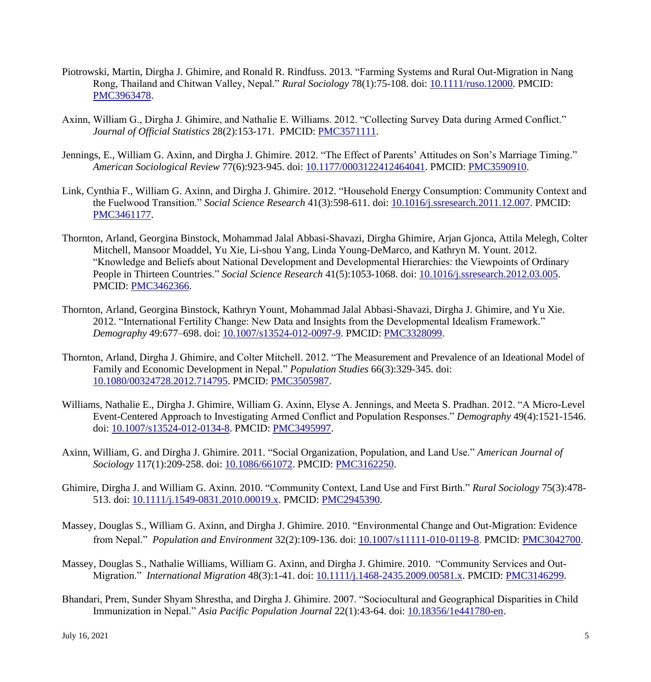- Piotrowski, Martin, Dirgha J. Ghimire, and Ronald R. Rindfuss. 2013. "Farming Systems and Rural Out-Migration in Nang Rong, Thailand and Chitwan Valley, Nepal." *Rural Sociology* 78(1):75-108. doi: [10.1111/ruso.12000.](https://doi.org/10.1111/ruso.12000) PMCID: [PMC3963478.](https://www.ncbi.nlm.nih.gov/pmc/articles/PMC3963478/)
- Axinn, William G., Dirgha J. Ghimire, and Nathalie E. Williams. 2012. "Collecting Survey Data during Armed Conflict." *Journal of Official Statistics* 28(2):153-171. PMCID: [PMC3571111.](https://www.ncbi.nlm.nih.gov/pmc/articles/PMC3571111/)
- Jennings, E., William G. Axinn, and Dirgha J. Ghimire. 2012. "The Effect of Parents' Attitudes on Son's Marriage Timing." *American Sociological Review* 77(6):923-945. doi: [10.1177/0003122412464041.](https://doi.org/10.1177/0003122412464041) PMCID: [PMC3590910.](https://www.ncbi.nlm.nih.gov/pmc/articles/PMC3590910/)
- Link, Cynthia F., William G. Axinn, and Dirgha J. Ghimire. 2012. "Household Energy Consumption: Community Context and the Fuelwood Transition." *Social Science Research* 41(3):598-611. doi: [10.1016/j.ssresearch.2011.12.007.](https://doi.org/10.1016/j.ssresearch.2011.12.007) PMCID: [PMC3461177.](https://www.ncbi.nlm.nih.gov/pmc/articles/PMC3461177/)
- Thornton, Arland, Georgina Binstock, Mohammad Jalal Abbasi-Shavazi, Dirgha Ghimire, Arjan Gjonca, Attila Melegh, Colter Mitchell, Mansoor Moaddel, Yu Xie, Li-shou Yang, Linda Young-DeMarco, and Kathryn M. Yount. 2012. "Knowledge and Beliefs about National Development and Developmental Hierarchies: the Viewpoints of Ordinary People in Thirteen Countries." *Social Science Research* 41(5):1053-1068. doi: [10.1016/j.ssresearch.2012.03.005.](https://doi.org/10.1016/j.ssresearch.2012.03.005) PMCID: [PMC3462366.](https://www.ncbi.nlm.nih.gov/pmc/articles/PMC3462366/)
- Thornton, Arland, Georgina Binstock, Kathryn Yount, Mohammad Jalal Abbasi-Shavazi, Dirgha J. Ghimire, and Yu Xie. 2012. "International Fertility Change: New Data and Insights from the Developmental Idealism Framework." *Demography* 49:677–698. doi: [10.1007/s13524-012-0097-9.](https://doi.org/10.1007/s13524-012-0097-9) PMCID: [PMC3328099.](https://www.ncbi.nlm.nih.gov/pmc/articles/PMC3328099/)
- Thornton, Arland, Dirgha J. Ghimire, and Colter Mitchell. 2012. "The Measurement and Prevalence of an Ideational Model of Family and Economic Development in Nepal." *Population Studies* 66(3):329-345. doi: [10.1080/00324728.2012.714795.](https://doi.org/10.1080/00324728.2012.714795) PMCID: [PMC3505987.](https://www.ncbi.nlm.nih.gov/pmc/articles/PMC3505987/)
- Williams, Nathalie E., Dirgha J. Ghimire, William G. Axinn, Elyse A. Jennings, and Meeta S. Pradhan. 2012. "A Micro-Level Event-Centered Approach to Investigating Armed Conflict and Population Responses." *Demography* 49(4):1521-1546. doi: [10.1007/s13524-012-0134-8.](https://doi.org/10.1007/s13524-012-0134-8) PMCID: [PMC3495997.](https://www.ncbi.nlm.nih.gov/pmc/articles/PMC3495997)
- Axinn, William, G. and Dirgha J. Ghimire. 2011. "Social Organization, Population, and Land Use." *American Journal of Sociology* 117(1):209-258. doi: [10.1086/661072.](https://doi.org/10.1086/661072) PMCID: [PMC3162250.](https://www.ncbi.nlm.nih.gov/pmc/articles/PMC3162250)
- Ghimire, Dirgha J. and William G. Axinn. 2010. "Community Context, Land Use and First Birth." *Rural Sociology* 75(3):478- 513. doi: [10.1111/j.1549-0831.2010.00019.x.](https://doi.org/10.1111/j.1549-0831.2010.00019.x) PMCID: [PMC2945390.](https://www.ncbi.nlm.nih.gov/pmc/articles/PMC2945390)
- Massey, Douglas S., William G. Axinn, and Dirgha J. Ghimire. 2010. "Environmental Change and Out-Migration: Evidence from Nepal." *Population and Environment* 32(2):109-136. doi: [10.1007/s11111-010-0119-8.](https://doi.org/10.1007/s11111-010-0119-8) PMCID: [PMC3042700.](https://www.ncbi.nlm.nih.gov/pmc/articles/PMC3042700)
- Massey, Douglas S., Nathalie Williams, William G. Axinn, and Dirgha J. Ghimire. 2010. "Community Services and Out-Migration." *International Migration* 48(3):1-41. doi: [10.1111/j.1468-2435.2009.00581.x.](https://doi.org/10.1111/j.1468-2435.2009.00581.x) PMCID: [PMC3146299.](https://www.ncbi.nlm.nih.gov/pmc/articles/PMC3146299/)
- Bhandari, Prem, Sunder Shyam Shrestha, and Dirgha J. Ghimire. 2007. "Sociocultural and Geographical Disparities in Child Immunization in Nepal." *Asia Pacific Population Journal* 22(1):43-64. doi: [10.18356/1e441780-en.](https://doi.org/10.18356/1e441780-en)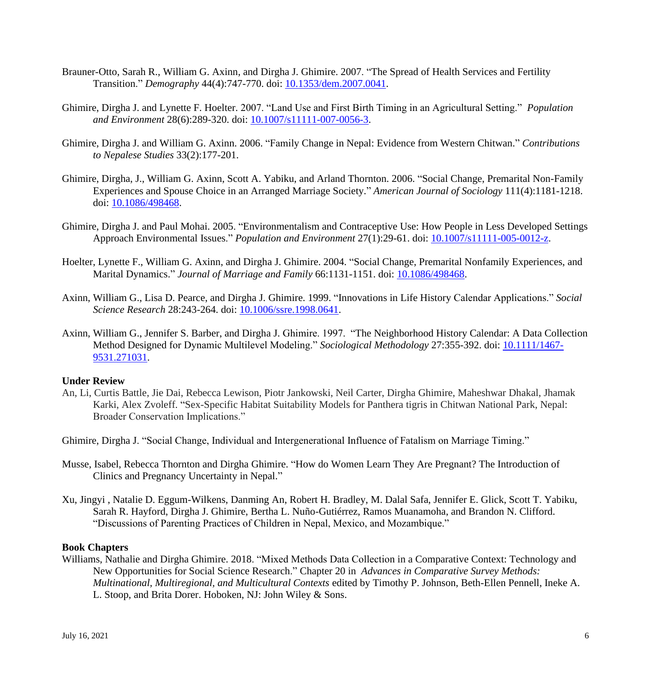- Brauner-Otto, Sarah R., William G. Axinn, and Dirgha J. Ghimire. 2007. "The Spread of Health Services and Fertility Transition." *Demography* 44(4):747-770. doi: [10.1353/dem.2007.0041.](https://doi.org/10.1353/dem.2007.0041)
- Ghimire, Dirgha J. and Lynette F. Hoelter. 2007. "Land Use and First Birth Timing in an Agricultural Setting." *Population and Environment* 28(6):289-320. doi: [10.1007/s11111-007-0056-3.](https://doi.org/10.1007/s11111-007-0056-3)
- Ghimire, Dirgha J. and William G. Axinn. 2006. "Family Change in Nepal: Evidence from Western Chitwan." *Contributions to Nepalese Studies* 33(2):177-201.
- Ghimire, Dirgha, J., William G. Axinn, Scott A. Yabiku, and Arland Thornton. 2006. "Social Change, Premarital Non-Family Experiences and Spouse Choice in an Arranged Marriage Society." *American Journal of Sociology* 111(4):1181-1218. doi: [10.1086/498468.](https://doi.org/10.1086/498468)
- Ghimire, Dirgha J. and Paul Mohai. 2005. "Environmentalism and Contraceptive Use: How People in Less Developed Settings Approach Environmental Issues." *Population and Environment* 27(1):29-61. doi: [10.1007/s11111-005-0012-z.](https://doi.org/10.1007/s11111-005-0012-z)
- Hoelter, Lynette F., William G. Axinn, and Dirgha J. Ghimire. 2004. "Social Change, Premarital Nonfamily Experiences, and Marital Dynamics." *Journal of Marriage and Family* 66:1131-1151. doi: [10.1086/498468.](https://doi.org/10.1086/498468)
- Axinn, William G., Lisa D. Pearce, and Dirgha J. Ghimire. 1999. "Innovations in Life History Calendar Applications." *Social Science Research* 28:243-264. doi: [10.1006/ssre.1998.0641.](https://doi.org/10.1006/ssre.1998.0641)
- Axinn, William G., Jennifer S. Barber, and Dirgha J. Ghimire. 1997. "The Neighborhood History Calendar: A Data Collection Method Designed for Dynamic Multilevel Modeling." *Sociological Methodology* 27:355-392. doi: [10.1111/1467-](https://journals.sagepub.com/doi/10.1111/1467-9531.271031) [9531.271031.](https://journals.sagepub.com/doi/10.1111/1467-9531.271031)

### **Under Review**

An, Li, Curtis Battle, Jie Dai, Rebecca Lewison, Piotr Jankowski, Neil Carter, Dirgha Ghimire, Maheshwar Dhakal, Jhamak Karki, Alex Zvoleff. "Sex-Specific Habitat Suitability Models for Panthera tigris in Chitwan National Park, Nepal: Broader Conservation Implications."

Ghimire, Dirgha J. "Social Change, Individual and Intergenerational Influence of Fatalism on Marriage Timing."

- Musse, Isabel, Rebecca Thornton and Dirgha Ghimire. "How do Women Learn They Are Pregnant? The Introduction of Clinics and Pregnancy Uncertainty in Nepal."
- Xu, Jingyi , Natalie D. Eggum-Wilkens, Danming An, Robert H. Bradley, M. Dalal Safa, Jennifer E. Glick, Scott T. Yabiku, Sarah R. Hayford, Dirgha J. Ghimire, Bertha L. Nuño-Gutiérrez, Ramos Muanamoha, and Brandon N. Clifford. "Discussions of Parenting Practices of Children in Nepal, Mexico, and Mozambique."

# **Book Chapters**

Williams, Nathalie and Dirgha Ghimire. 2018. "Mixed Methods Data Collection in a Comparative Context: Technology and New Opportunities for Social Science Research." Chapter 20 in *Advances in Comparative Survey Methods: Multinational, Multiregional, and Multicultural Contexts* edited by Timothy P. Johnson, Beth-Ellen Pennell, Ineke A. L. Stoop, and Brita Dorer. Hoboken, NJ: John Wiley & Sons.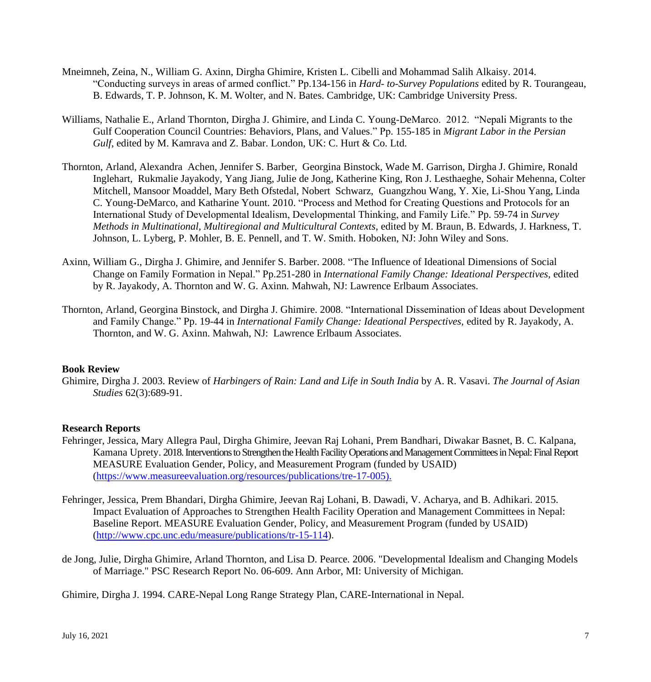- Mneimneh, Zeina, N., William G. Axinn, Dirgha Ghimire, Kristen L. Cibelli and Mohammad Salih Alkaisy. 2014. "Conducting surveys in areas of armed conflict." Pp.134-156 in *Hard- to-Survey Populations* edited by R. Tourangeau, B. Edwards, T. P. Johnson, K. M. Wolter, and N. Bates. Cambridge, UK: Cambridge University Press.
- Williams, Nathalie E., Arland Thornton, Dirgha J. Ghimire, and Linda C. Young-DeMarco. 2012. "Nepali Migrants to the Gulf Cooperation Council Countries: Behaviors, Plans, and Values." Pp. 155-185 in *Migrant Labor in the Persian Gulf*, edited by M. Kamrava and Z. Babar. London, UK: C. Hurt & Co. Ltd.
- Thornton, Arland, Alexandra Achen, Jennifer S. Barber, Georgina Binstock, Wade M. Garrison, Dirgha J. Ghimire, Ronald Inglehart, Rukmalie Jayakody, Yang Jiang, Julie de Jong, Katherine King, Ron J. Lesthaeghe, Sohair Mehenna, Colter Mitchell, Mansoor Moaddel, Mary Beth Ofstedal, Nobert Schwarz, Guangzhou Wang, Y. Xie, Li-Shou Yang, Linda C. Young-DeMarco, and Katharine Yount. 2010. "Process and Method for Creating Questions and Protocols for an International Study of Developmental Idealism, Developmental Thinking, and Family Life." Pp. 59-74 in *Survey Methods in Multinational, Multiregional and Multicultural Contexts*, edited by M. Braun, B. Edwards, J. Harkness, T. Johnson, L. Lyberg, P. Mohler, B. E. Pennell, and T. W. Smith. Hoboken, NJ: John Wiley and Sons.
- Axinn, William G., Dirgha J. Ghimire, and Jennifer S. Barber. 2008. "The Influence of Ideational Dimensions of Social Change on Family Formation in Nepal." Pp.251-280 in *International Family Change: Ideational Perspectives,* edited by R. Jayakody, A. Thornton and W. G. Axinn*.* Mahwah, NJ: Lawrence Erlbaum Associates.
- Thornton, Arland, Georgina Binstock, and Dirgha J. Ghimire. 2008. "International Dissemination of Ideas about Development and Family Change." Pp. 19-44 in *International Family Change: Ideational Perspectives,* edited by R. Jayakody, A. Thornton, and W. G. Axinn. Mahwah, NJ: Lawrence Erlbaum Associates.

# **Book Review**

Ghimire, Dirgha J. 2003. Review of *Harbingers of Rain: Land and Life in South India* by A. R. Vasavi. *The Journal of Asian Studies* 62(3):689-91.

### **Research Reports**

- Fehringer, Jessica, Mary Allegra Paul, Dirgha Ghimire, Jeevan Raj Lohani, Prem Bandhari, Diwakar Basnet, B. C. Kalpana, Kamana Uprety. 2018.Interventions to Strengthen the Health Facility Operations and Management Committees in Nepal: Final Report MEASURE Evaluation Gender, Policy, and Measurement Program (funded by USAID) [\(https://www.measureevaluation.org/resources/publications/tre-17-005\)](https://www.measureevaluation.org/resources/publications/tre-17-005).
- Fehringer, Jessica, Prem Bhandari, Dirgha Ghimire, Jeevan Raj Lohani, B. Dawadi, V. Acharya, and B. Adhikari. 2015. Impact Evaluation of Approaches to Strengthen Health Facility Operation and Management Committees in Nepal: Baseline Report. MEASURE Evaluation Gender, Policy, and Measurement Program (funded by USAID) [\(http://www.cpc.unc.edu/measure/publications/tr-15-114\)](http://www.cpc.unc.edu/measure/publications/tr-15-114).
- de Jong, Julie, Dirgha Ghimire, Arland Thornton, and Lisa D. Pearce. 2006. "Developmental Idealism and Changing Models of Marriage." PSC Research Report No. 06-609. Ann Arbor, MI: University of Michigan.

Ghimire, Dirgha J. 1994. CARE-Nepal Long Range Strategy Plan, CARE-International in Nepal.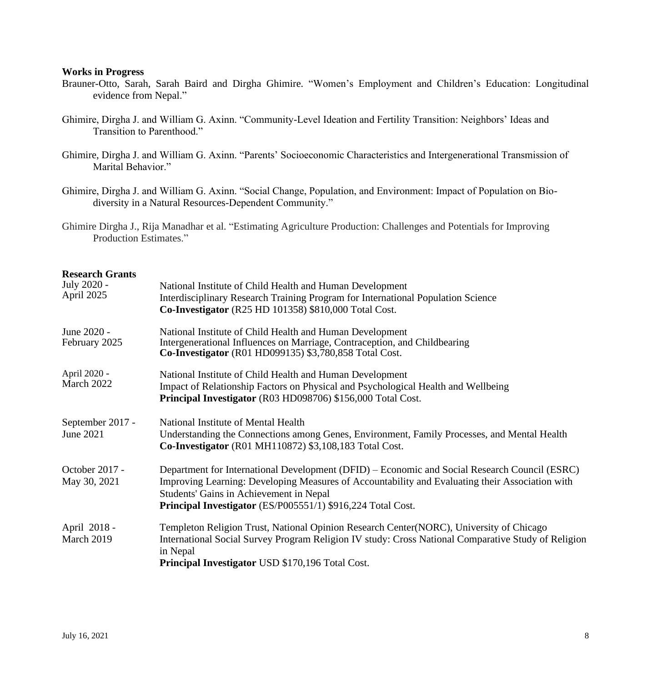#### **Works in Progress**

- Brauner-Otto, Sarah, Sarah Baird and Dirgha Ghimire. "Women's Employment and Children's Education: Longitudinal evidence from Nepal."
- Ghimire, Dirgha J. and William G. Axinn. "Community-Level Ideation and Fertility Transition: Neighbors' Ideas and Transition to Parenthood."
- Ghimire, Dirgha J. and William G. Axinn. "Parents' Socioeconomic Characteristics and Intergenerational Transmission of Marital Behavior."
- Ghimire, Dirgha J. and William G. Axinn. "Social Change, Population, and Environment: Impact of Population on Biodiversity in a Natural Resources-Dependent Community."
- Ghimire Dirgha J., Rija Manadhar et al. "Estimating Agriculture Production: Challenges and Potentials for Improving Production Estimates."

# **Research Grants**

| July 2020 -<br>April 2025      | National Institute of Child Health and Human Development<br>Interdisciplinary Research Training Program for International Population Science<br><b>Co-Investigator</b> (R25 HD 101358) \$810,000 Total Cost.                                                                                               |
|--------------------------------|------------------------------------------------------------------------------------------------------------------------------------------------------------------------------------------------------------------------------------------------------------------------------------------------------------|
| June 2020 -<br>February 2025   | National Institute of Child Health and Human Development<br>Intergenerational Influences on Marriage, Contraception, and Childbearing<br>Co-Investigator (R01 HD099135) \$3,780,858 Total Cost.                                                                                                            |
| April 2020 -<br>March 2022     | National Institute of Child Health and Human Development<br>Impact of Relationship Factors on Physical and Psychological Health and Wellbeing<br>Principal Investigator (R03 HD098706) \$156,000 Total Cost.                                                                                               |
| September 2017 -<br>June 2021  | National Institute of Mental Health<br>Understanding the Connections among Genes, Environment, Family Processes, and Mental Health<br>Co-Investigator (R01 MH110872) \$3,108,183 Total Cost.                                                                                                               |
| October 2017 -<br>May 30, 2021 | Department for International Development (DFID) – Economic and Social Research Council (ESRC)<br>Improving Learning: Developing Measures of Accountability and Evaluating their Association with<br>Students' Gains in Achievement in Nepal<br>Principal Investigator (ES/P005551/1) \$916,224 Total Cost. |
| April 2018 -<br>March 2019     | Templeton Religion Trust, National Opinion Research Center(NORC), University of Chicago<br>International Social Survey Program Religion IV study: Cross National Comparative Study of Religion<br>in Nepal<br>Principal Investigator USD \$170,196 Total Cost.                                             |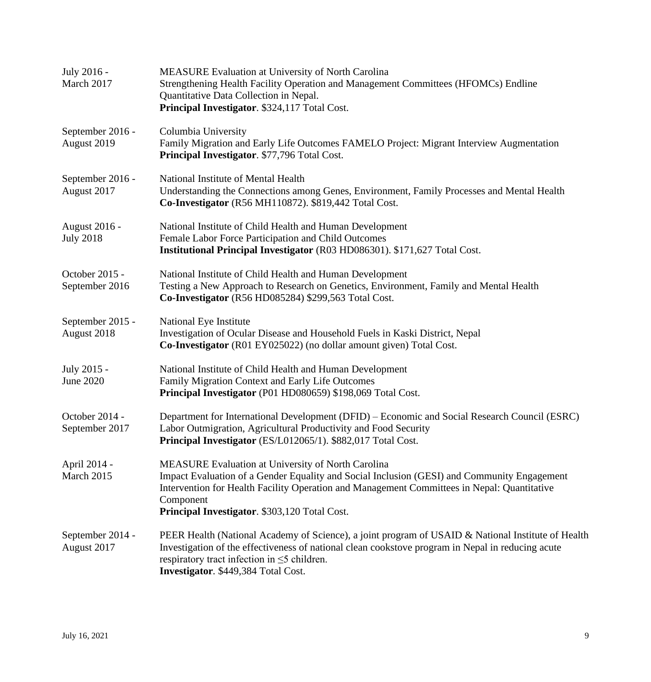| July 2016 -<br>March 2017                | <b>MEASURE Evaluation at University of North Carolina</b><br>Strengthening Health Facility Operation and Management Committees (HFOMCs) Endline<br>Quantitative Data Collection in Nepal.<br>Principal Investigator. \$324,117 Total Cost.                                                                            |
|------------------------------------------|-----------------------------------------------------------------------------------------------------------------------------------------------------------------------------------------------------------------------------------------------------------------------------------------------------------------------|
| September 2016 -<br>August 2019          | Columbia University<br>Family Migration and Early Life Outcomes FAMELO Project: Migrant Interview Augmentation<br>Principal Investigator. \$77,796 Total Cost.                                                                                                                                                        |
| September 2016 -<br>August 2017          | National Institute of Mental Health<br>Understanding the Connections among Genes, Environment, Family Processes and Mental Health<br>Co-Investigator (R56 MH110872). \$819,442 Total Cost.                                                                                                                            |
| <b>August 2016 -</b><br><b>July 2018</b> | National Institute of Child Health and Human Development<br>Female Labor Force Participation and Child Outcomes<br>Institutional Principal Investigator (R03 HD086301). \$171,627 Total Cost.                                                                                                                         |
| October 2015 -<br>September 2016         | National Institute of Child Health and Human Development<br>Testing a New Approach to Research on Genetics, Environment, Family and Mental Health<br>Co-Investigator (R56 HD085284) \$299,563 Total Cost.                                                                                                             |
| September 2015 -<br>August 2018          | National Eye Institute<br>Investigation of Ocular Disease and Household Fuels in Kaski District, Nepal<br>Co-Investigator (R01 EY025022) (no dollar amount given) Total Cost.                                                                                                                                         |
| July 2015 -<br><b>June 2020</b>          | National Institute of Child Health and Human Development<br>Family Migration Context and Early Life Outcomes<br>Principal Investigator (P01 HD080659) \$198,069 Total Cost.                                                                                                                                           |
| October 2014 -<br>September 2017         | Department for International Development (DFID) – Economic and Social Research Council (ESRC)<br>Labor Outmigration, Agricultural Productivity and Food Security<br>Principal Investigator (ES/L012065/1). \$882,017 Total Cost.                                                                                      |
| April 2014 -<br>March 2015               | <b>MEASURE Evaluation at University of North Carolina</b><br>Impact Evaluation of a Gender Equality and Social Inclusion (GESI) and Community Engagement<br>Intervention for Health Facility Operation and Management Committees in Nepal: Quantitative<br>Component<br>Principal Investigator. \$303,120 Total Cost. |
| September 2014 -<br>August 2017          | PEER Health (National Academy of Science), a joint program of USAID & National Institute of Health<br>Investigation of the effectiveness of national clean cookstove program in Nepal in reducing acute<br>respiratory tract infection in $\leq$ 5 children.<br>Investigator. \$449,384 Total Cost.                   |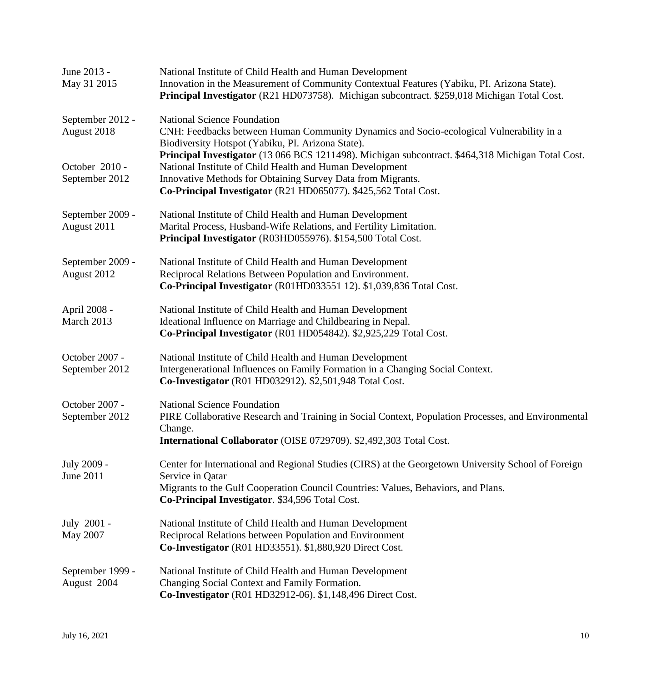| June 2013 -<br>May 31 2015       | National Institute of Child Health and Human Development<br>Innovation in the Measurement of Community Contextual Features (Yabiku, PI. Arizona State).<br>Principal Investigator (R21 HD073758). Michigan subcontract. \$259,018 Michigan Total Cost.                                          |
|----------------------------------|-------------------------------------------------------------------------------------------------------------------------------------------------------------------------------------------------------------------------------------------------------------------------------------------------|
| September 2012 -<br>August 2018  | <b>National Science Foundation</b><br>CNH: Feedbacks between Human Community Dynamics and Socio-ecological Vulnerability in a<br>Biodiversity Hotspot (Yabiku, PI. Arizona State).                                                                                                              |
| October 2010 -<br>September 2012 | Principal Investigator (13 066 BCS 1211498). Michigan subcontract. \$464,318 Michigan Total Cost.<br>National Institute of Child Health and Human Development<br>Innovative Methods for Obtaining Survey Data from Migrants.<br>Co-Principal Investigator (R21 HD065077). \$425,562 Total Cost. |
| September 2009 -<br>August 2011  | National Institute of Child Health and Human Development<br>Marital Process, Husband-Wife Relations, and Fertility Limitation.<br>Principal Investigator (R03HD055976). \$154,500 Total Cost.                                                                                                   |
| September 2009 -<br>August 2012  | National Institute of Child Health and Human Development<br>Reciprocal Relations Between Population and Environment.<br>Co-Principal Investigator (R01HD033551 12). \$1,039,836 Total Cost.                                                                                                     |
| April 2008 -<br>March 2013       | National Institute of Child Health and Human Development<br>Ideational Influence on Marriage and Childbearing in Nepal.<br>Co-Principal Investigator (R01 HD054842). \$2,925,229 Total Cost.                                                                                                    |
| October 2007 -<br>September 2012 | National Institute of Child Health and Human Development<br>Intergenerational Influences on Family Formation in a Changing Social Context.<br>Co-Investigator (R01 HD032912). \$2,501,948 Total Cost.                                                                                           |
| October 2007 -<br>September 2012 | <b>National Science Foundation</b><br>PIRE Collaborative Research and Training in Social Context, Population Processes, and Environmental<br>Change.<br>International Collaborator (OISE 0729709). \$2,492,303 Total Cost.                                                                      |
| July 2009 -<br>June 2011         | Center for International and Regional Studies (CIRS) at the Georgetown University School of Foreign<br>Service in Qatar<br>Migrants to the Gulf Cooperation Council Countries: Values, Behaviors, and Plans.<br>Co-Principal Investigator. \$34,596 Total Cost.                                 |
| July 2001 -<br>May 2007          | National Institute of Child Health and Human Development<br>Reciprocal Relations between Population and Environment<br>Co-Investigator (R01 HD33551). \$1,880,920 Direct Cost.                                                                                                                  |
| September 1999 -<br>August 2004  | National Institute of Child Health and Human Development<br>Changing Social Context and Family Formation.<br>Co-Investigator (R01 HD32912-06). \$1,148,496 Direct Cost.                                                                                                                         |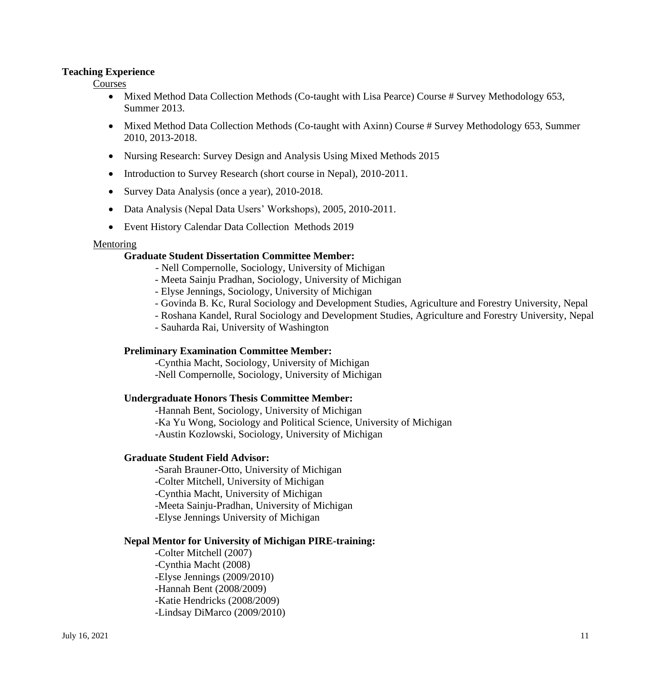# **Teaching Experience**

Courses

- Mixed Method Data Collection Methods (Co-taught with Lisa Pearce) Course # Survey Methodology 653, Summer 2013.
- Mixed Method Data Collection Methods (Co-taught with Axinn) Course # Survey Methodology 653, Summer 2010, 2013-2018.
- Nursing Research: Survey Design and Analysis Using Mixed Methods 2015
- Introduction to Survey Research (short course in Nepal), 2010-2011.
- Survey Data Analysis (once a year), 2010-2018.
- Data Analysis (Nepal Data Users' Workshops), 2005, 2010-2011.
- Event History Calendar Data Collection Methods 2019

### Mentoring

### **Graduate Student Dissertation Committee Member:**

- Nell Compernolle, Sociology, University of Michigan
- Meeta Sainju Pradhan, Sociology, University of Michigan
- Elyse Jennings, Sociology, University of Michigan
- Govinda B. Kc, Rural Sociology and Development Studies, Agriculture and Forestry University, Nepal
- Roshana Kandel, Rural Sociology and Development Studies, Agriculture and Forestry University, Nepal
- Sauharda Rai, University of Washington

### **Preliminary Examination Committee Member:**

-Cynthia Macht, Sociology, University of Michigan -Nell Compernolle, Sociology, University of Michigan

### **Undergraduate Honors Thesis Committee Member:**

-Hannah Bent, Sociology, University of Michigan -Ka Yu Wong, Sociology and Political Science, University of Michigan -Austin Kozlowski, Sociology, University of Michigan

### **Graduate Student Field Advisor:**

-Sarah Brauner-Otto, University of Michigan -Colter Mitchell, University of Michigan -Cynthia Macht, University of Michigan -Meeta Sainju-Pradhan, University of Michigan -Elyse Jennings University of Michigan

### **Nepal Mentor for University of Michigan PIRE-training:**

-Colter Mitchell (2007) -Cynthia Macht (2008) -Elyse Jennings (2009/2010) -Hannah Bent (2008/2009) -Katie Hendricks (2008/2009) -Lindsay DiMarco (2009/2010)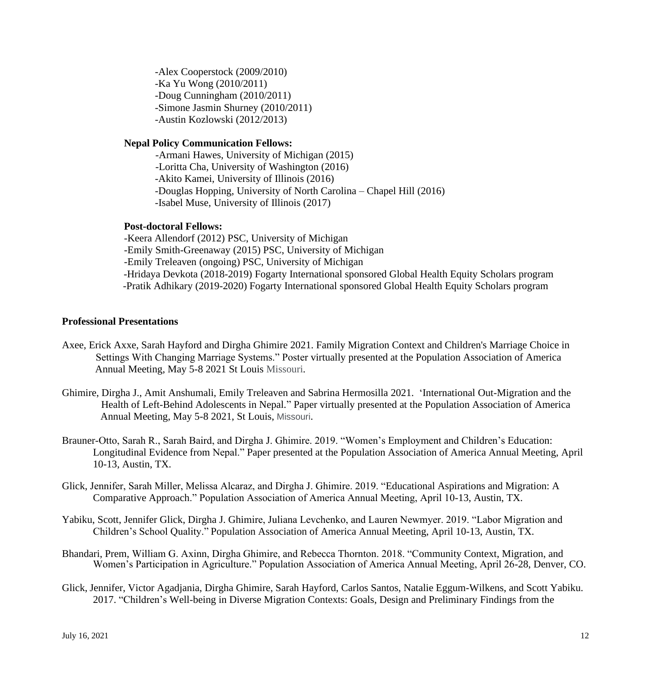-Alex Cooperstock (2009/2010) -Ka Yu Wong (2010/2011) -Doug Cunningham (2010/2011) -Simone Jasmin Shurney (2010/2011) -Austin Kozlowski (2012/2013)

# **Nepal Policy Communication Fellows:**

-Armani Hawes, University of Michigan (2015) -Loritta Cha, University of Washington (2016) -Akito Kamei, University of Illinois (2016) -Douglas Hopping, University of North Carolina – Chapel Hill (2016) -Isabel Muse, University of Illinois (2017)

#### **Post-doctoral Fellows:**

-Keera Allendorf (2012) PSC, University of Michigan -Emily Smith-Greenaway (2015) PSC, University of Michigan -Emily Treleaven (ongoing) PSC, University of Michigan -Hridaya Devkota (2018-2019) Fogarty International sponsored Global Health Equity Scholars program -Pratik Adhikary (2019-2020) Fogarty International sponsored Global Health Equity Scholars program

### **Professional Presentations**

- Axee, Erick Axxe, Sarah Hayford and Dirgha Ghimire 2021. Family Migration Context and Children's Marriage Choice in Settings With Changing Marriage Systems." Poster virtually presented at the Population Association of America Annual Meeting, May 5-8 2021 St Louis Missouri.
- Ghimire, Dirgha J., Amit Anshumali, Emily Treleaven and Sabrina Hermosilla 2021. 'International Out-Migration and the Health of Left-Behind Adolescents in Nepal." Paper virtually presented at the Population Association of America Annual Meeting, May 5-8 2021, St Louis, Missouri.
- Brauner-Otto, Sarah R., Sarah Baird, and Dirgha J. Ghimire. 2019. "Women's Employment and Children's Education: Longitudinal Evidence from Nepal." Paper presented at the Population Association of America Annual Meeting, April 10-13, Austin, TX.
- Glick, Jennifer, Sarah Miller, Melissa Alcaraz, and Dirgha J. Ghimire. 2019. "Educational Aspirations and Migration: A Comparative Approach." Population Association of America Annual Meeting, April 10-13, Austin, TX.
- Yabiku, Scott, Jennifer Glick, Dirgha J. Ghimire, Juliana Levchenko, and Lauren Newmyer. 2019. "Labor Migration and Children's School Quality." Population Association of America Annual Meeting, April 10-13, Austin, TX.
- Bhandari, Prem, William G. Axinn, Dirgha Ghimire, and Rebecca Thornton. 2018. "Community Context, Migration, and Women's Participation in Agriculture." Population Association of America Annual Meeting, April 26-28, Denver, CO.
- Glick, Jennifer, Victor Agadjania, Dirgha Ghimire, Sarah Hayford, Carlos Santos, Natalie Eggum-Wilkens, and Scott Yabiku. 2017. "Children's Well-being in Diverse Migration Contexts: Goals, Design and Preliminary Findings from the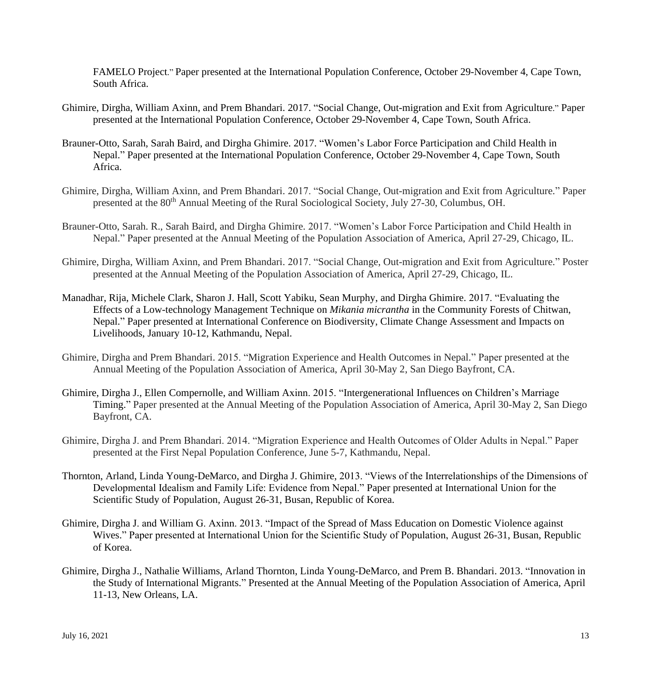FAMELO Project." Paper presented at the International Population Conference, October 29-November 4, Cape Town, South Africa.

- Ghimire, Dirgha, William Axinn, and Prem Bhandari. 2017. "Social Change, [Out-migration](https://iussp.confex.com/iussp/ipc2017/meetingapp.cgi/Paper/3605) and Exit from Agriculture." Paper [presented at the International Population Conference, October 29-November 4, Cape Town, South Africa.](https://iussp.confex.com/iussp/ipc2017/meetingapp.cgi/Paper/1972)
- [Brauner-Otto,](https://iussp.confex.com/iussp/ipc2017/meetingapp.cgi/Paper/1972) Sarah, Sarah Baird, and Dirgha Ghimire. 2017. "Women's Labor Force Participation and Child Health in [Nepal.](https://iussp.confex.com/iussp/ipc2017/meetingapp.cgi/Paper/1972)" Paper presented at the International Population Conference, October 29-November 4, Cape Town, South Africa.
- Ghimire, Dirgha, William Axinn, and Prem Bhandari. 2017. "Social Change, Out-migration and Exit from Agriculture." Paper presented at the 80<sup>th</sup> Annual Meeting of the Rural Sociological Society, July 27-30, Columbus, OH.
- Brauner-Otto, Sarah. R., Sarah Baird, and Dirgha Ghimire. 2017. "Women's Labor Force Participation and Child Health in Nepal." Paper presented at the Annual Meeting of the Population Association of America, April 27-29, Chicago, IL.
- Ghimire, Dirgha, William Axinn, and Prem Bhandari. 2017. "Social Change, Out-migration and Exit from Agriculture." Poster presented at the Annual Meeting of the Population Association of America, April 27-29, Chicago, IL.
- Manadhar, Rija, Michele Clark, Sharon J. Hall, Scott Yabiku, Sean Murphy, and Dirgha Ghimire. 2017. "Evaluating the Effects of a Low-technology Management Technique on *Mikania micrantha* in the Community Forests of Chitwan, Nepal." Paper presented at International Conference on Biodiversity, Climate Change Assessment and Impacts on Livelihoods, January 10-12, Kathmandu, Nepal.
- Ghimire, Dirgha and Prem Bhandari. 2015. "Migration Experience and Health Outcomes in Nepal." Paper presented at the Annual Meeting of the Population Association of America, April 30-May 2, San Diego Bayfront, CA.
- Ghimire, Dirgha J., Ellen Compernolle, and William Axinn. 2015. "Intergenerational Influences on Children's Marriage Timing." Paper presented at the Annual Meeting of the Population Association of America, April 30-May 2, San Diego Bayfront, CA.
- Ghimire, Dirgha J. and Prem Bhandari. 2014. "Migration Experience and Health Outcomes of Older Adults in Nepal." Paper presented at the First Nepal Population Conference, June 5-7, Kathmandu, Nepal.
- Thornton, Arland, Linda [Young-DeMarco,](mailto:lyoungdm@umich.edu) and Dirgha J. [Ghimire,](mailto:nepdjg@umich.edu) 2013. "Views of the Interrelationships of the Dimensions of Developmental Idealism and Family Life: Evidence from Nepal." Paper presented at International Union for the Scientific Study of Population, August 26-31, Busan, Republic of Korea.
- Ghimire, Dirgha J. and William G. Axinn. 2013. "Impact of the Spread of Mass Education on Domestic Violence against Wives." Paper presented at International Union for the Scientific Study of Population, August 26-31, Busan, Republic of Korea.
- Ghimire, Dirgha J., Nathalie Williams, Arland Thornton, Linda Young-DeMarco, and Prem B. Bhandari. 2013. "Innovation in the Study of International Migrants." Presented at the Annual Meeting of the Population Association of America, April 11-13, New Orleans, LA.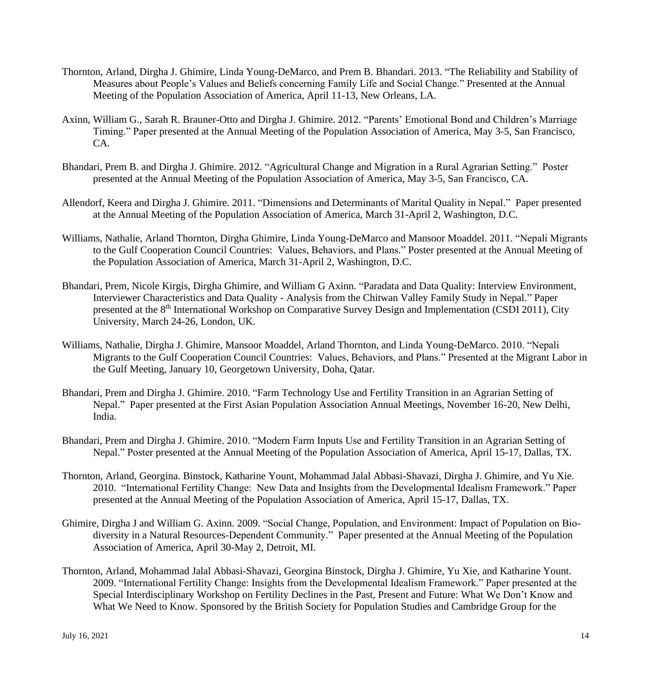- Thornton, Arland, Dirgha J. Ghimire, Linda Young-DeMarco, and Prem B. Bhandari. 2013. "The Reliability and Stability of Measures about People's Values and Beliefs concerning Family Life and Social Change." Presented at the Annual Meeting of the Population Association of America, April 11-13, New Orleans, LA.
- Axinn, William G., Sarah R. Brauner-Otto and Dirgha J. Ghimire. 2012. "Parents' Emotional Bond and Children's Marriage Timing." Paper presented at the Annual Meeting of the Population Association of America, May 3-5, San Francisco, CA.
- Bhandari, Prem B. and Dirgha J. Ghimire. 2012. "Agricultural Change and Migration in a Rural Agrarian Setting." Poster presented at the Annual Meeting of the Population Association of America, May 3-5, San Francisco, CA.
- Allendorf, Keera and Dirgha J. Ghimire. 2011. "Dimensions and Determinants of Marital Quality in Nepal." Paper presented at the Annual Meeting of the Population Association of America, March 31-April 2, Washington, D.C.
- Williams, Nathalie, Arland Thornton, Dirgha Ghimire, Linda Young-DeMarco and Mansoor Moaddel. 2011. "Nepali Migrants to the Gulf Cooperation Council Countries: Values, Behaviors, and Plans." Poster presented at the Annual Meeting of the Population Association of America, March 31-April 2, Washington, D.C.
- Bhandari, Prem, Nicole Kirgis, Dirgha Ghimire, and William G Axinn. "Paradata and Data Quality: Interview Environment, Interviewer Characteristics and Data Quality - Analysis from the Chitwan Valley Family Study in Nepal." Paper presented at the 8<sup>th</sup> International Workshop on Comparative Survey Design and Implementation (CSDI 2011), City University, March 24-26, London, UK.
- Williams, Nathalie, Dirgha J. Ghimire, Mansoor Moaddel, Arland Thornton, and Linda Young-DeMarco. 2010. "Nepali Migrants to the Gulf Cooperation Council Countries: Values, Behaviors, and Plans." Presented at the Migrant Labor in the Gulf Meeting, January 10, Georgetown University, Doha, Qatar.
- Bhandari, Prem and Dirgha J. Ghimire. 2010. "Farm Technology Use and Fertility Transition in an Agrarian Setting of Nepal." Paper presented at the First Asian Population Association Annual Meetings, November 16-20, New Delhi, India.
- Bhandari, Prem and Dirgha J. Ghimire. 2010. "Modern Farm Inputs Use and Fertility Transition in an Agrarian Setting of Nepal." Poster presented at the Annual Meeting of the Population Association of America, April 15-17, Dallas, TX.
- Thornton, Arland, Georgina. Binstock, Katharine Yount, Mohammad Jalal Abbasi-Shavazi, Dirgha J. Ghimire, and Yu Xie. 2010. "International Fertility Change: New Data and Insights from the Developmental Idealism Framework." Paper presented at the Annual Meeting of the Population Association of America, April 15-17, Dallas, TX.
- Ghimire, Dirgha J and William G. Axinn. 2009. "Social Change, Population, and Environment: Impact of Population on Biodiversity in a Natural Resources-Dependent Community." Paper presented at the Annual Meeting of the Population Association of America, April 30-May 2, Detroit, MI.
- Thornton, Arland, Mohammad Jalal Abbasi-Shavazi, Georgina Binstock, Dirgha J. Ghimire, Yu Xie, and Katharine Yount. 2009. "International Fertility Change: Insights from the Developmental Idealism Framework." Paper presented at the Special Interdisciplinary Workshop on Fertility Declines in the Past, Present and Future: What We Don't Know and What We Need to Know. Sponsored by the British Society for Population Studies and Cambridge Group for the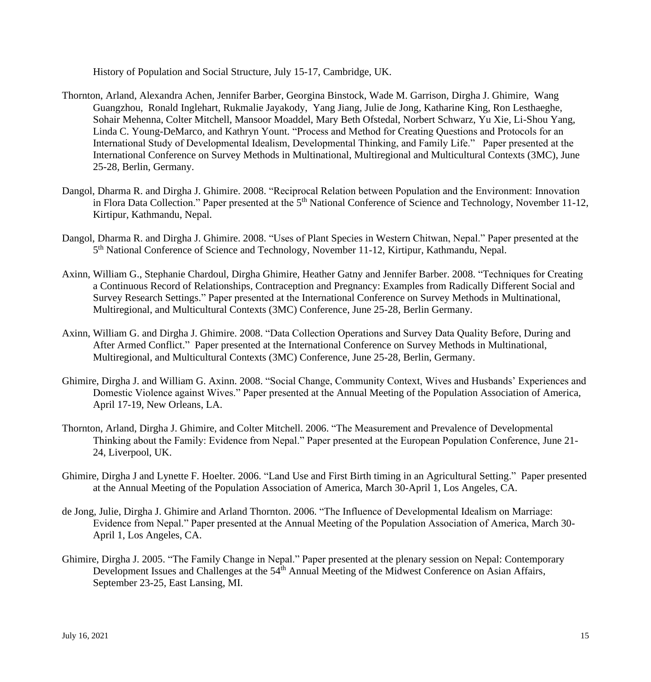History of Population and Social Structure, July 15-17, Cambridge, UK.

- Thornton, Arland, Alexandra Achen, Jennifer Barber, Georgina Binstock, Wade M. Garrison, Dirgha J. Ghimire, Wang Guangzhou, Ronald Inglehart, Rukmalie Jayakody, Yang Jiang, Julie de Jong, Katharine King, Ron Lesthaeghe, Sohair Mehenna, Colter Mitchell, Mansoor Moaddel, Mary Beth Ofstedal, Norbert Schwarz, Yu Xie, Li-Shou Yang, Linda C. Young-DeMarco, and Kathryn Yount. "Process and Method for Creating Questions and Protocols for an International Study of Developmental Idealism, Developmental Thinking, and Family Life." Paper presented at the International Conference on Survey Methods in Multinational, Multiregional and Multicultural Contexts (3MC), June 25-28, Berlin, Germany.
- Dangol, Dharma R. and Dirgha J. Ghimire. 2008. "Reciprocal Relation between Population and the Environment: Innovation in Flora Data Collection." Paper presented at the 5<sup>th</sup> National Conference of Science and Technology, November 11-12, Kirtipur, Kathmandu, Nepal.
- Dangol, Dharma R. and Dirgha J. Ghimire. 2008. "Uses of Plant Species in Western Chitwan, Nepal." Paper presented at the 5<sup>th</sup> National Conference of Science and Technology, November 11-12, Kirtipur, Kathmandu, Nepal.
- Axinn, William G., Stephanie Chardoul, Dirgha Ghimire, Heather Gatny and Jennifer Barber. 2008. "Techniques for Creating a Continuous Record of Relationships, Contraception and Pregnancy: Examples from Radically Different Social and Survey Research Settings." Paper presented at the International Conference on Survey Methods in Multinational, Multiregional, and Multicultural Contexts (3MC) Conference, June 25-28, Berlin Germany.
- Axinn, William G. and Dirgha J. Ghimire. 2008. "Data Collection Operations and Survey Data Quality Before, During and After Armed Conflict." Paper presented at the International Conference on Survey Methods in Multinational, Multiregional, and Multicultural Contexts (3MC) Conference, June 25-28, Berlin, Germany.
- Ghimire, Dirgha J. and William G. Axinn. 2008. "Social Change, Community Context, Wives and Husbands' Experiences and Domestic Violence against Wives." Paper presented at the Annual Meeting of the Population Association of America, April 17-19, New Orleans, LA.
- Thornton, Arland, Dirgha J. Ghimire, and Colter Mitchell. 2006. "The Measurement and Prevalence of Developmental Thinking about the Family: Evidence from Nepal." Paper presented at the European Population Conference, June 21- 24, Liverpool, UK.
- Ghimire, Dirgha J and Lynette F. Hoelter*.* 2006. "Land Use and First Birth timing in an Agricultural Setting." Paper presented at the Annual Meeting of the Population Association of America, March 30-April 1, Los Angeles, CA.
- de Jong, Julie, Dirgha J. Ghimire and Arland Thornton. 2006. "The Influence of Developmental Idealism on Marriage: Evidence from Nepal." Paper presented at the Annual Meeting of the Population Association of America, March 30- April 1, Los Angeles, CA.
- Ghimire, Dirgha J. 2005. "The Family Change in Nepal." Paper presented at the plenary session on Nepal: Contemporary Development Issues and Challenges at the 54<sup>th</sup> Annual Meeting of the Midwest Conference on Asian Affairs, September 23-25, East Lansing, MI.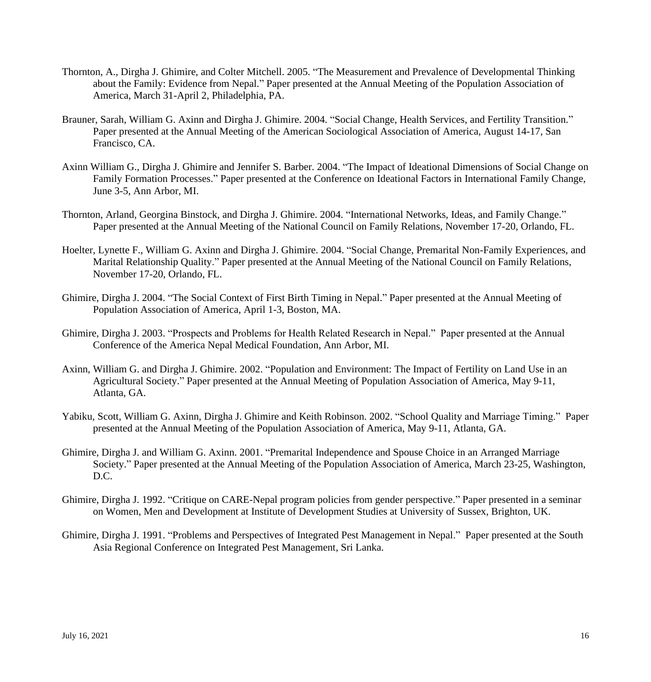- Thornton, A., Dirgha J. Ghimire, and Colter Mitchell. 2005. "The Measurement and Prevalence of Developmental Thinking about the Family: Evidence from Nepal." Paper presented at the Annual Meeting of the Population Association of America, March 31-April 2, Philadelphia, PA.
- Brauner, Sarah, William G. Axinn and Dirgha J. Ghimire. 2004. "Social Change, Health Services, and Fertility Transition." Paper presented at the Annual Meeting of the American Sociological Association of America, August 14-17, San Francisco, CA.
- Axinn William G., Dirgha J. Ghimire and Jennifer S. Barber. 2004. "The Impact of Ideational Dimensions of Social Change on Family Formation Processes." Paper presented at the Conference on Ideational Factors in International Family Change, June 3-5, Ann Arbor, MI.
- Thornton, Arland, Georgina Binstock, and Dirgha J. Ghimire. 2004. "International Networks, Ideas, and Family Change." Paper presented at the Annual Meeting of the National Council on Family Relations, November 17-20, Orlando, FL.
- Hoelter, Lynette F., William G. Axinn and Dirgha J. Ghimire. 2004. "Social Change, Premarital Non-Family Experiences, and Marital Relationship Quality." Paper presented at the Annual Meeting of the National Council on Family Relations, November 17-20, Orlando, FL.
- Ghimire, Dirgha J. 2004. "The Social Context of First Birth Timing in Nepal." Paper presented at the Annual Meeting of Population Association of America, April 1-3, Boston, MA.
- Ghimire, Dirgha J. 2003. "Prospects and Problems for Health Related Research in Nepal." Paper presented at the Annual Conference of the America Nepal Medical Foundation, Ann Arbor, MI.
- Axinn, William G. and Dirgha J. Ghimire. 2002. "Population and Environment: The Impact of Fertility on Land Use in an Agricultural Society." Paper presented at the Annual Meeting of Population Association of America, May 9-11, Atlanta, GA.
- Yabiku, Scott, William G. Axinn, Dirgha J. Ghimire and Keith Robinson. 2002. "School Quality and Marriage Timing." Paper presented at the Annual Meeting of the Population Association of America, May 9-11, Atlanta, GA.
- Ghimire, Dirgha J. and William G. Axinn. 2001. "Premarital Independence and Spouse Choice in an Arranged Marriage Society." Paper presented at the Annual Meeting of the Population Association of America, March 23-25, Washington, D.C.
- Ghimire, Dirgha J. 1992. "Critique on CARE-Nepal program policies from gender perspective." Paper presented in a seminar on Women, Men and Development at Institute of Development Studies at University of Sussex, Brighton, UK.
- Ghimire, Dirgha J. 1991. "Problems and Perspectives of Integrated Pest Management in Nepal." Paper presented at the South Asia Regional Conference on Integrated Pest Management, Sri Lanka.